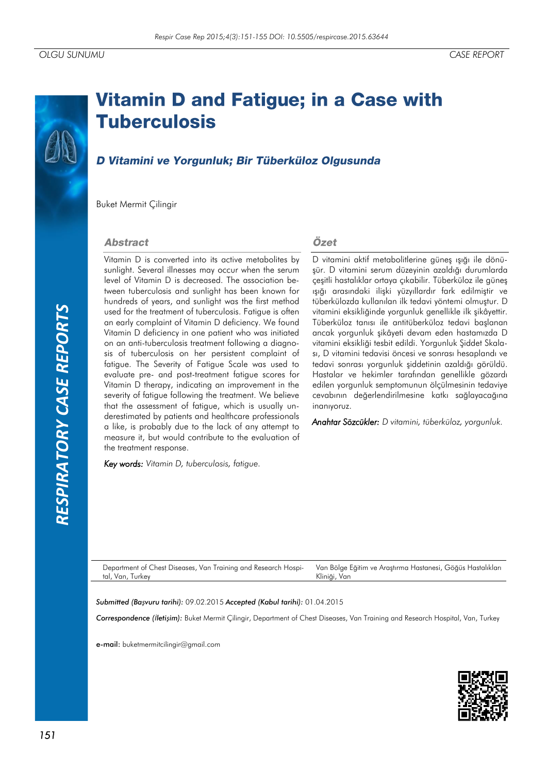# *RESPIRATORY CASE REPORTS*RESPIRATORY CASE REPORTS

# **Vitamin D and Fatigue; in a Case with Tuberculosis**

## D Vitamini ve Yorgunluk; Bir Tüberküloz Olgusunda

Buket Mermit Çilingir

### **Abstract**

Vitamin D is converted into its active metabolites by sunlight. Several illnesses may occur when the serum level of Vitamin D is decreased. The association between tuberculosis and sunlight has been known for hundreds of years, and sunlight was the first method used for the treatment of tuberculosis. Fatigue is often an early complaint of Vitamin D deficiency. We found Vitamin D deficiency in one patient who was initiated on an anti-tuberculosis treatment following a diagnosis of tuberculosis on her persistent complaint of fatigue. The Severity of Fatigue Scale was used to evaluate pre- and post-treatment fatigue scores for Vitamin D therapy, indicating an improvement in the severity of fatigue following the treatment. We believe that the assessment of fatigue, which is usually underestimated by patients and healthcare professionals a like, is probably due to the lack of any attempt to measure it, but would contribute to the evaluation of the treatment response.

*Key words: Vitamin D, tuberculosis, fatigue.*

### Özet

D vitamini aktif metabolitlerine güneş ışığı ile dönüşür. D vitamini serum düzeyinin azaldığı durumlarda çeşitli hastalıklar ortaya çıkabilir. Tüberküloz ile güneş ışığı arasındaki ilişki yüzyıllardır fark edilmiştir ve tüberkülozda kullanılan ilk tedavi yöntemi olmuştur. D vitamini eksikliğinde yorgunluk genellikle ilk şikâyettir. Tüberküloz tanısı ile antitüberküloz tedavi başlanan ancak yorgunluk şikâyeti devam eden hastamızda D vitamini eksikliği tesbit edildi. Yorgunluk Şiddet Skalası, D vitamini tedavisi öncesi ve sonrası hesaplandı ve tedavi sonrası yorgunluk şiddetinin azaldığı görüldü. Hastalar ve hekimler tarafından genellikle gözardı edilen yorgunluk semptomunun ölçülmesinin tedaviye cevabının değerlendirilmesine katkı sağlayacağına inanıyoruz.

*Anahtar Sözcükler: D vitamini, tüberküloz, yorgunluk.*

Department of Chest Diseases, Van Training and Research Hospital, Van, Turkey Van Bölge Eğitim ve Araştırma Hastanesi, Göğüs Hastalıkları Kliniği, Van

*Submitted (Başvuru tarihi):* 09.02.2015 *Accepted (Kabul tarihi):* 01.04.2015

*Correspondence (İletişim):* Buket Mermit Çilingir, Department of Chest Diseases, Van Training and Research Hospital, Van, Turkey

e-mail: buketmermitcilingir@gmail.com

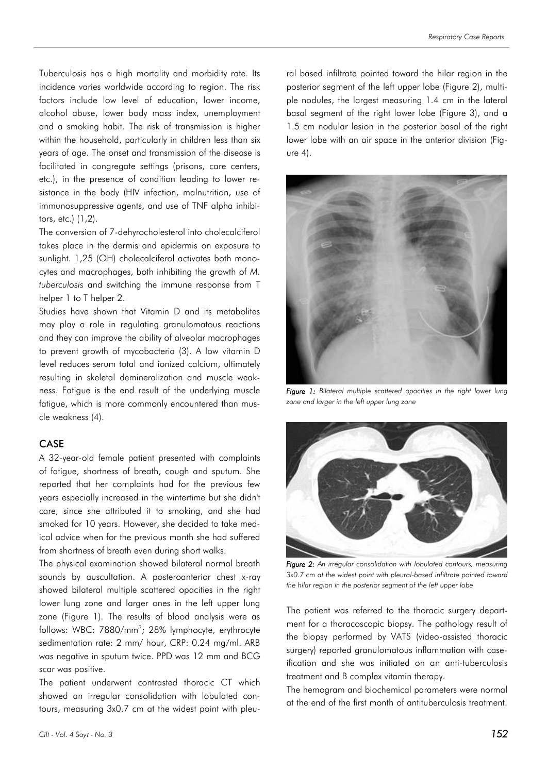Tuberculosis has a high mortality and morbidity rate. Its incidence varies worldwide according to region. The risk factors include low level of education, lower income, alcohol abuse, lower body mass index, unemployment and a smoking habit. The risk of transmission is higher within the household, particularly in children less than six years of age. The onset and transmission of the disease is facilitated in congregate settings (prisons, care centers, etc.), in the presence of condition leading to lower resistance in the body (HIV infection, malnutrition, use of immunosuppressive agents, and use of TNF alpha inhibitors, etc.) (1,2).

The conversion of 7-dehyrocholesterol into cholecalciferol takes place in the dermis and epidermis on exposure to sunlight. 1,25 (OH) cholecalciferol activates both monocytes and macrophages, both inhibiting the growth of *M. tuberculosis* and switching the immune response from T helper 1 to T helper 2.

Studies have shown that Vitamin D and its metabolites may play a role in regulating granulomatous reactions and they can improve the ability of alveolar macrophages to prevent growth of mycobacteria (3). A low vitamin D level reduces serum total and ionized calcium, ultimately resulting in skeletal demineralization and muscle weakness. Fatigue is the end result of the underlying muscle fatigue, which is more commonly encountered than muscle weakness (4).

### CASE

A 32-year-old female patient presented with complaints of fatigue, shortness of breath, cough and sputum. She reported that her complaints had for the previous few years especially increased in the wintertime but she didn't care, since she attributed it to smoking, and she had smoked for 10 years. However, she decided to take medical advice when for the previous month she had suffered from shortness of breath even during short walks.

The physical examination showed bilateral normal breath sounds by auscultation. A posteroanterior chest x-ray showed bilateral multiple scattered opacities in the right lower lung zone and larger ones in the left upper lung zone (Figure 1). The results of blood analysis were as follows: WBC: 7880/mm<sup>3</sup>; 28% lymphocyte, erythrocyte sedimentation rate: 2 mm/ hour, CRP: 0.24 mg/ml. ARB was negative in sputum twice. PPD was 12 mm and BCG scar was positive.

The patient underwent contrasted thoracic CT which showed an irregular consolidation with lobulated contours, measuring 3x0.7 cm at the widest point with pleural based infiltrate pointed toward the hilar region in the posterior segment of the left upper lobe (Figure 2), multiple nodules, the largest measuring 1.4 cm in the lateral basal segment of the right lower lobe (Figure 3), and a 1.5 cm nodular lesion in the posterior basal of the right lower lobe with an air space in the anterior division (Figure 4).



*Figure 1: Bilateral multiple scattered opacities in the right lower lung zone and larger in the left upper lung zone*



*Figure 2: An irregular consolidation with lobulated contours, measuring 3x0.7 cm at the widest point with pleural-based infiltrate pointed toward the hilar region in the posterior segment of the left upper lobe*

The patient was referred to the thoracic surgery department for a thoracoscopic biopsy. The pathology result of the biopsy performed by VATS (video-assisted thoracic surgery) reported granulomatous inflammation with caseification and she was initiated on an anti-tuberculosis treatment and B complex vitamin therapy.

The hemogram and biochemical parameters were normal at the end of the first month of antituberculosis treatment.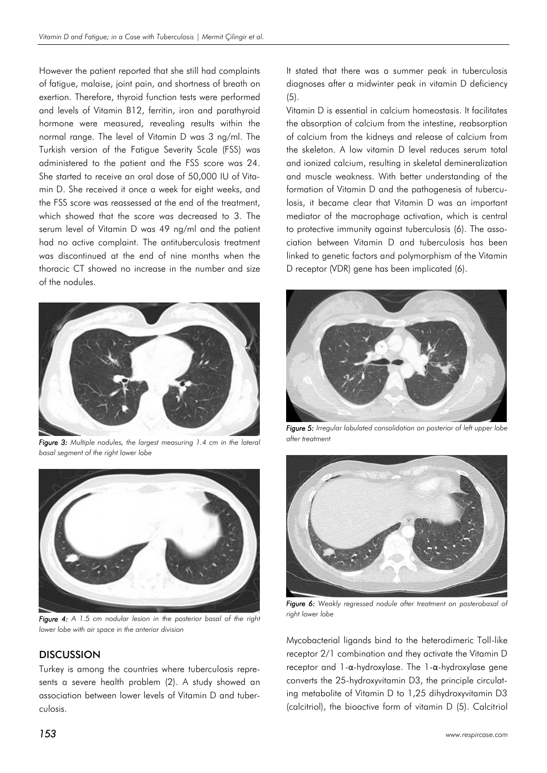However the patient reported that she still had complaints of fatigue, malaise, joint pain, and shortness of breath on exertion. Therefore, thyroid function tests were performed and levels of Vitamin B12, ferritin, iron and parathyroid hormone were measured, revealing results within the normal range. The level of Vitamin D was 3 ng/ml. The Turkish version of the Fatigue Severity Scale (FSS) was administered to the patient and the FSS score was 24. She started to receive an oral dose of 50,000 IU of Vitamin D. She received it once a week for eight weeks, and the FSS score was reassessed at the end of the treatment, which showed that the score was decreased to 3. The serum level of Vitamin D was 49 ng/ml and the patient had no active complaint. The antituberculosis treatment was discontinued at the end of nine months when the thoracic CT showed no increase in the number and size of the nodules.



*Figure 3: Multiple nodules, the largest measuring 1.4 cm in the lateral basal segment of the right lower lobe*



*Figure 4: A 1.5 cm nodular lesion in the posterior basal of the right lower lobe with air space in the anterior division*

### **DISCUSSION**

Turkey is among the countries where tuberculosis represents a severe health problem (2). A study showed an association between lower levels of Vitamin D and tuberculosis.

It stated that there was a summer peak in tuberculosis diagnoses after a midwinter peak in vitamin D deficiency  $(5)$ .

Vitamin D is essential in calcium homeostasis. It facilitates the absorption of calcium from the intestine, reabsorption of calcium from the kidneys and release of calcium from the skeleton. A low vitamin D level reduces serum total and ionized calcium, resulting in skeletal demineralization and muscle weakness. With better understanding of the formation of Vitamin D and the pathogenesis of tuberculosis, it became clear that Vitamin D was an important mediator of the macrophage activation, which is central to protective immunity against tuberculosis (6). The association between Vitamin D and tuberculosis has been linked to genetic factors and polymorphism of the Vitamin D receptor (VDR) gene has been implicated (6).



*Figure 5: Irregular lobulated consolidation on posterior of left upper lobe after treatment*



*Figure 6: Weakly regressed nodule after treatment on posterobasal of right lower lobe*

Mycobacterial ligands bind to the heterodimeric Toll-like receptor 2/1 combination and they activate the Vitamin D receptor and 1-α-hydroxylase. The 1-α-hydroxylase gene converts the 25-hydroxyvitamin D3, the principle circulating metabolite of Vitamin D to 1,25 dihydroxyvitamin D3 (calcitriol), the bioactive form of vitamin D (5). Calcitriol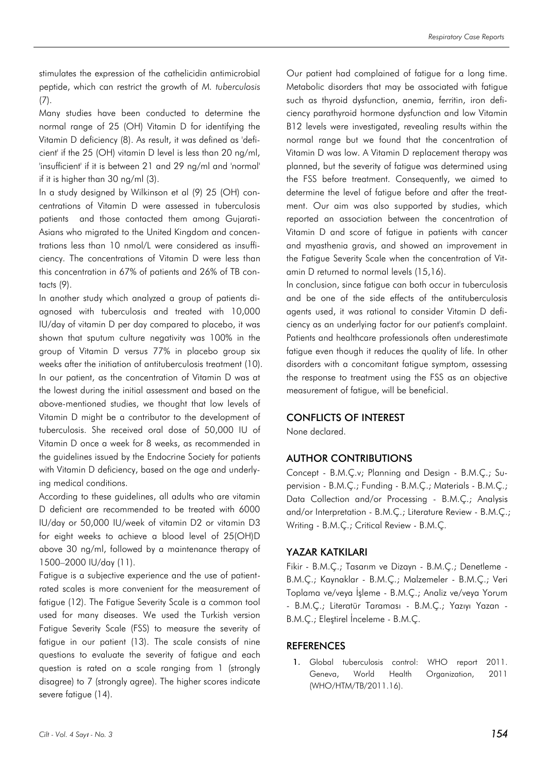stimulates the expression of the cathelicidin antimicrobial peptide, which can restrict the growth of *M. tuberculosis* (7).

Many studies have been conducted to determine the normal range of 25 (OH) Vitamin D for identifying the Vitamin D deficiency (8). As result, it was defined as 'deficient' if the 25 (OH) vitamin D level is less than 20 ng/ml, 'insufficient' if it is between 21 and 29 ng/ml and 'normal' if it is higher than 30 ng/ml (3).

In a study designed by Wilkinson et al (9) 25 (OH) concentrations of Vitamin D were assessed in tuberculosis patients and those contacted them among Gujarati-Asians who migrated to the United Kingdom and concentrations less than 10 nmol/L were considered as insufficiency. The concentrations of Vitamin D were less than this concentration in 67% of patients and 26% of TB contacts (9).

In another study which analyzed a group of patients diagnosed with tuberculosis and treated with 10,000 IU/day of vitamin D per day compared to placebo, it was shown that sputum culture negativity was 100% in the group of Vitamin D versus 77% in placebo group six weeks after the initiation of antituberculosis treatment (10). In our patient, as the concentration of Vitamin D was at the lowest during the initial assessment and based on the above-mentioned studies, we thought that low levels of Vitamin D might be a contributor to the development of tuberculosis. She received oral dose of 50,000 IU of Vitamin D once a week for 8 weeks, as recommended in the guidelines issued by the Endocrine Society for patients with Vitamin D deficiency, based on the age and underlying medical conditions.

According to these guidelines, all adults who are vitamin D deficient are recommended to be treated with 6000 IU/day or 50,000 IU/week of vitamin D2 or vitamin D3 for eight weeks to achieve a blood level of 25(OH)D above 30 ng/ml, followed by a maintenance therapy of 1500–2000 IU/day (11).

Fatigue is a subjective experience and the use of patientrated scales is more convenient for the measurement of fatigue (12). The Fatigue Severity Scale is a common tool used for many diseases. We used the Turkish version Fatigue Severity Scale (FSS) to measure the severity of fatigue in our patient (13). The scale consists of nine questions to evaluate the severity of fatigue and each question is rated on a scale ranging from 1 (strongly disagree) to 7 (strongly agree). The higher scores indicate severe fatigue (14).

Our patient had complained of fatigue for a long time. Metabolic disorders that may be associated with fatigue such as thyroid dysfunction, anemia, ferritin, iron deficiency parathyroid hormone dysfunction and low Vitamin B12 levels were investigated, revealing results within the normal range but we found that the concentration of Vitamin D was low. A Vitamin D replacement therapy was planned, but the severity of fatigue was determined using the FSS before treatment. Consequently, we aimed to determine the level of fatigue before and after the treatment. Our aim was also supported by studies, which reported an association between the concentration of Vitamin D and score of fatigue in patients with cancer and myasthenia gravis, and showed an improvement in the Fatigue Severity Scale when the concentration of Vitamin D returned to normal levels (15,16).

In conclusion, since fatigue can both occur in tuberculosis and be one of the side effects of the antituberculosis agents used, it was rational to consider Vitamin D deficiency as an underlying factor for our patient's complaint. Patients and healthcare professionals often underestimate fatigue even though it reduces the quality of life. In other disorders with a concomitant fatigue symptom, assessing the response to treatment using the FSS as an objective measurement of fatigue, will be beneficial.

### CONFLICTS OF INTEREST

None declared.

### AUTHOR CONTRIBUTIONS

Concept - B.M.Ç.v; Planning and Design - B.M.Ç.; Supervision - B.M.Ç.; Funding - B.M.Ç.; Materials - B.M.Ç.; Data Collection and/or Processing - B.M.Ç.; Analysis and/or Interpretation - B.M.Ç.; Literature Review - B.M.Ç.; Writing - B.M.Ç.; Critical Review - B.M.Ç.

### YAZAR KATKILARI

Fikir - B.M.Ç.; Tasarım ve Dizayn - B.M.Ç.; Denetleme - B.M.Ç.; Kaynaklar - B.M.Ç.; Malzemeler - B.M.Ç.; Veri Toplama ve/veya İşleme - B.M.Ç.; Analiz ve/veya Yorum - B.M.Ç.; Literatür Taraması - B.M.Ç.; Yazıyı Yazan - B.M.Ç.; Eleştirel İnceleme - B.M.Ç.

### **REFERENCES**

1. Global tuberculosis control: WHO report 2011. Geneva, World Health Organization, 2011 (WHO/HTM/TB/2011.16).